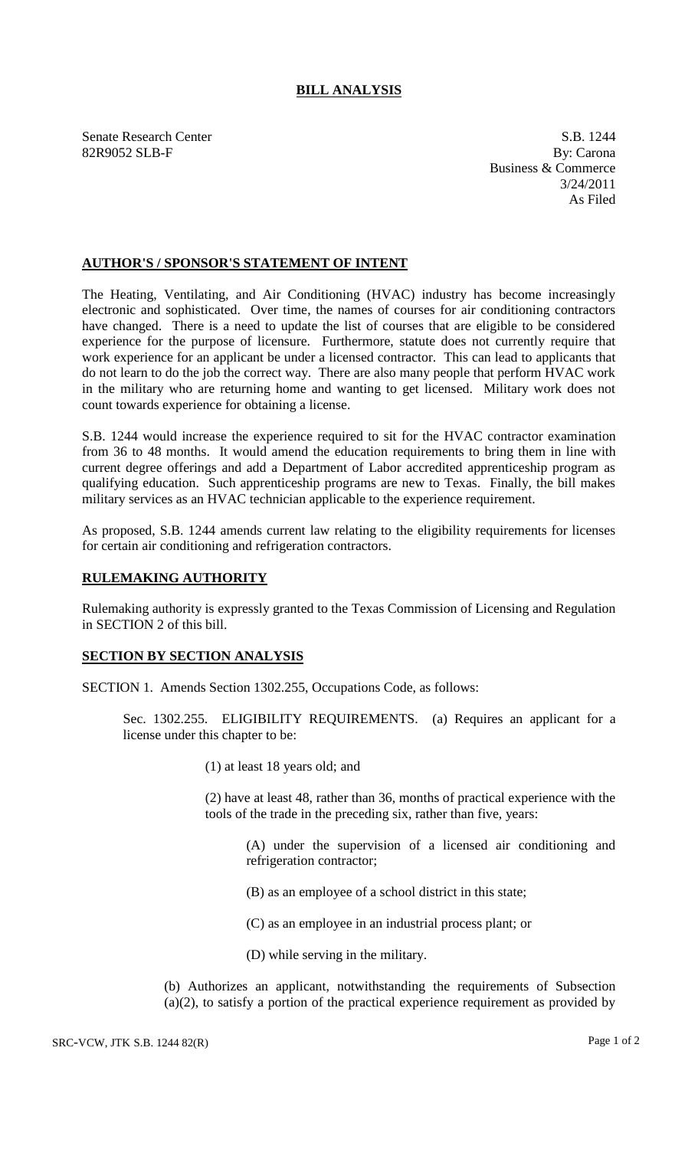## **BILL ANALYSIS**

Senate Research Center S.B. 1244 82R9052 SLB-F By: Carona

Business & Commerce 3/24/2011 As Filed

## **AUTHOR'S / SPONSOR'S STATEMENT OF INTENT**

The Heating, Ventilating, and Air Conditioning (HVAC) industry has become increasingly electronic and sophisticated. Over time, the names of courses for air conditioning contractors have changed. There is a need to update the list of courses that are eligible to be considered experience for the purpose of licensure. Furthermore, statute does not currently require that work experience for an applicant be under a licensed contractor. This can lead to applicants that do not learn to do the job the correct way. There are also many people that perform HVAC work in the military who are returning home and wanting to get licensed. Military work does not count towards experience for obtaining a license.

S.B. 1244 would increase the experience required to sit for the HVAC contractor examination from 36 to 48 months. It would amend the education requirements to bring them in line with current degree offerings and add a Department of Labor accredited apprenticeship program as qualifying education. Such apprenticeship programs are new to Texas. Finally, the bill makes military services as an HVAC technician applicable to the experience requirement.

As proposed, S.B. 1244 amends current law relating to the eligibility requirements for licenses for certain air conditioning and refrigeration contractors.

## **RULEMAKING AUTHORITY**

Rulemaking authority is expressly granted to the Texas Commission of Licensing and Regulation in SECTION 2 of this bill.

## **SECTION BY SECTION ANALYSIS**

SECTION 1. Amends Section 1302.255, Occupations Code, as follows:

Sec. 1302.255. ELIGIBILITY REQUIREMENTS. (a) Requires an applicant for a license under this chapter to be:

(1) at least 18 years old; and

(2) have at least 48, rather than 36, months of practical experience with the tools of the trade in the preceding six, rather than five, years:

(A) under the supervision of a licensed air conditioning and refrigeration contractor;

- (B) as an employee of a school district in this state;
- (C) as an employee in an industrial process plant; or
- (D) while serving in the military.

(b) Authorizes an applicant, notwithstanding the requirements of Subsection (a)(2), to satisfy a portion of the practical experience requirement as provided by